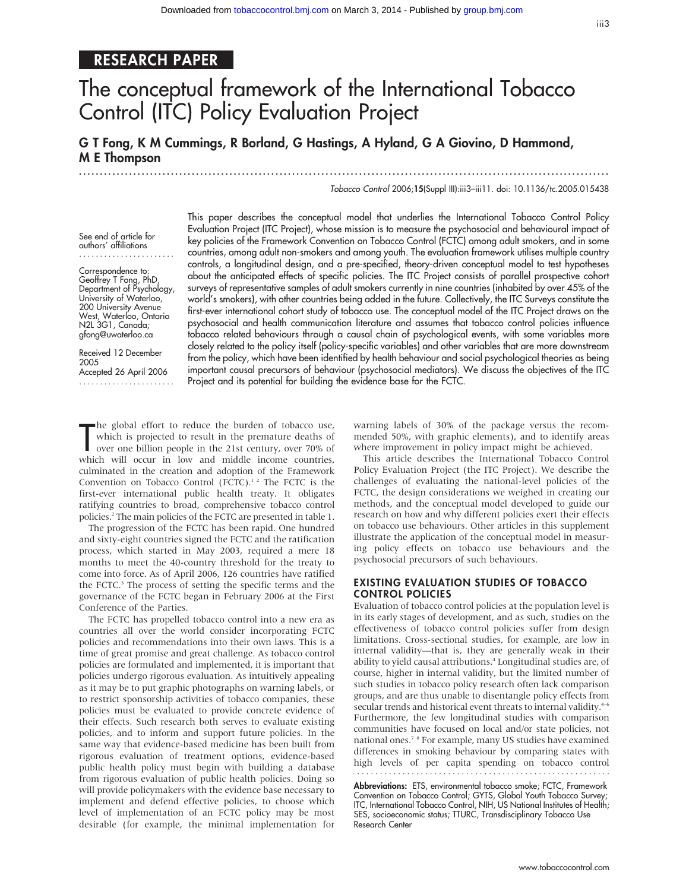# RESEARCH PAPER

# The conceptual framework of the International Tobacco Control (ITC) Policy Evaluation Project

G T Fong, K M Cummings, R Borland, G Hastings, A Hyland, G A Giovino, D Hammond, M E Thompson

.............................................................................................................................. .

Tobacco Control 2006;15(Suppl III):iii3–iii11. doi: 10.1136/tc.2005.015438

See end of article for authors' affiliations .......................

Correspondence to: Geoffrey T Fong, PhD, Department of Psychology, University of Waterloo, 200 University Avenue West, Waterloo, Ontario N2L 3G1, Canada; gfong@uwaterloo.ca

Received 12 December 2005 Accepted 26 April 2006

.......................

This paper describes the conceptual model that underlies the International Tobacco Control Policy Evaluation Project (ITC Project), whose mission is to measure the psychosocial and behavioural impact of key policies of the Framework Convention on Tobacco Control (FCTC) among adult smokers, and in some countries, among adult non-smokers and among youth. The evaluation framework utilises multiple country controls, a longitudinal design, and a pre-specified, theory-driven conceptual model to test hypotheses about the anticipated effects of specific policies. The ITC Project consists of parallel prospective cohort surveys of representative samples of adult smokers currently in nine countries (inhabited by over 45% of the world's smokers), with other countries being added in the future. Collectively, the ITC Surveys constitute the first-ever international cohort study of tobacco use. The conceptual model of the ITC Project draws on the psychosocial and health communication literature and assumes that tobacco control policies influence tobacco related behaviours through a causal chain of psychological events, with some variables more closely related to the policy itself (policy-specific variables) and other variables that are more downstream from the policy, which have been identified by health behaviour and social psychological theories as being important causal precursors of behaviour (psychosocial mediators). We discuss the objectives of the ITC Project and its potential for building the evidence base for the FCTC.

The global effort to reduce the burden of tobacco use,<br>which is projected to result in the premature deaths of<br>over one billion people in the 21st century, over 70% of<br>which will occur in low and middle income countries, he global effort to reduce the burden of tobacco use, which is projected to result in the premature deaths of over one billion people in the 21st century, over 70% of culminated in the creation and adoption of the Framework Convention on Tobacco Control (FCTC).<sup>12</sup> The FCTC is the first-ever international public health treaty. It obligates ratifying countries to broad, comprehensive tobacco control policies.2 The main policies of the FCTC are presented in table 1.

The progression of the FCTC has been rapid. One hundred and sixty-eight countries signed the FCTC and the ratification process, which started in May 2003, required a mere 18 months to meet the 40-country threshold for the treaty to come into force. As of April 2006, 126 countries have ratified the FCTC.3 The process of setting the specific terms and the governance of the FCTC began in February 2006 at the First Conference of the Parties.

The FCTC has propelled tobacco control into a new era as countries all over the world consider incorporating FCTC policies and recommendations into their own laws. This is a time of great promise and great challenge. As tobacco control policies are formulated and implemented, it is important that policies undergo rigorous evaluation. As intuitively appealing as it may be to put graphic photographs on warning labels, or to restrict sponsorship activities of tobacco companies, these policies must be evaluated to provide concrete evidence of their effects. Such research both serves to evaluate existing policies, and to inform and support future policies. In the same way that evidence-based medicine has been built from rigorous evaluation of treatment options, evidence-based public health policy must begin with building a database from rigorous evaluation of public health policies. Doing so will provide policymakers with the evidence base necessary to implement and defend effective policies, to choose which level of implementation of an FCTC policy may be most desirable (for example, the minimal implementation for

warning labels of 30% of the package versus the recommended 50%, with graphic elements), and to identify areas where improvement in policy impact might be achieved.

This article describes the International Tobacco Control Policy Evaluation Project (the ITC Project). We describe the challenges of evaluating the national-level policies of the FCTC, the design considerations we weighed in creating our methods, and the conceptual model developed to guide our research on how and why different policies exert their effects on tobacco use behaviours. Other articles in this supplement illustrate the application of the conceptual model in measuring policy effects on tobacco use behaviours and the psychosocial precursors of such behaviours.

#### EXISTING EVALUATION STUDIES OF TOBACCO CONTROL POLICIES

Evaluation of tobacco control policies at the population level is in its early stages of development, and as such, studies on the effectiveness of tobacco control policies suffer from design limitations. Cross-sectional studies, for example, are low in internal validity—that is, they are generally weak in their ability to yield causal attributions.<sup>4</sup> Longitudinal studies are, of course, higher in internal validity, but the limited number of such studies in tobacco policy research often lack comparison groups, and are thus unable to disentangle policy effects from secular trends and historical event threats to internal validity.<sup>4-6</sup> Furthermore, the few longitudinal studies with comparison communities have focused on local and/or state policies, not national ones.7 8 For example, many US studies have examined differences in smoking behaviour by comparing states with high levels of per capita spending on tobacco control

Abbreviations: ETS, environmental tobacco smoke; FCTC, Framework Convention on Tobacco Control; GYTS, Global Youth Tobacco Survey; ITC, International Tobacco Control, NIH, US National Institutes of Health; SES, socioeconomic status; TTURC, Transdisciplinary Tobacco Use Research Center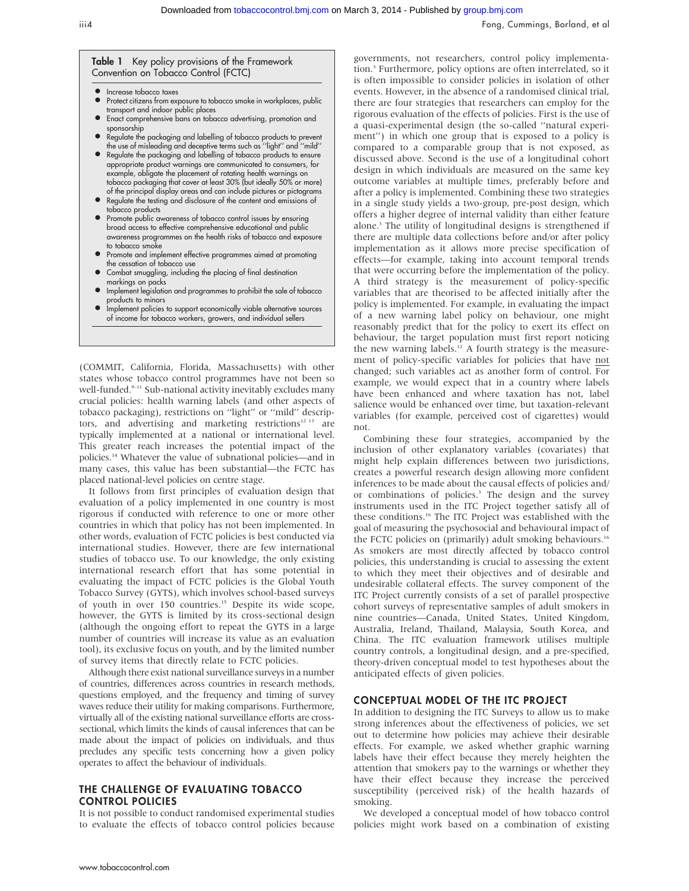Table 1 Key policy provisions of the Framework Convention on Tobacco Control (FCTC)

- Increase tobacco taxes<br>• Protect citizens from exi
- Protect citizens from exposure to tobacco smoke in workplaces, public transport and indoor public places
- **•** Enact comprehensive bans on tobacco advertising, promotion and sponsorship
- Regulate the packaging and labelling of tobacco products to prevent the use of misleading and deceptive terms such as ''light'' and ''mild''
- Regulate the packaging and labelling of tobacco products to ensure appropriate product warnings are communicated to consumers, for example, obligate the placement of rotating health warnings on tobacco packaging that cover at least 30% (but ideally 50% or more) of the principal display areas and can include pictures or pictograms
- Regulate the testing and disclosure of the content and emissions of tobacco products
- Promote public awareness of tobacco control issues by ensuring broad access to effective comprehensive educational and public awareness programmes on the health risks of tobacco and exposure to tobacco smoke
- **•** Promote and implement effective programmes aimed at promoting the cessation of tobacco use
- Combat smuggling, including the placing of final destination markings on packs
- $\bullet$  Implement legislation and programmes to prohibit the sale of tobacco products to minors
- $\bullet$  implement policies to support economically viable alternative sources of income for tobacco workers, growers, and individual sellers

(COMMIT, California, Florida, Massachusetts) with other states whose tobacco control programmes have not been so well-funded. $9-11$  Sub-national activity inevitably excludes many crucial policies: health warning labels (and other aspects of tobacco packaging), restrictions on ''light'' or ''mild'' descriptors, and advertising and marketing restrictions<sup>12 13</sup> are typically implemented at a national or international level. This greater reach increases the potential impact of the policies.14 Whatever the value of subnational policies—and in many cases, this value has been substantial—the FCTC has placed national-level policies on centre stage.

It follows from first principles of evaluation design that evaluation of a policy implemented in one country is most rigorous if conducted with reference to one or more other countries in which that policy has not been implemented. In other words, evaluation of FCTC policies is best conducted via international studies. However, there are few international studies of tobacco use. To our knowledge, the only existing international research effort that has some potential in evaluating the impact of FCTC policies is the Global Youth Tobacco Survey (GYTS), which involves school-based surveys of youth in over 150 countries.15 Despite its wide scope, however, the GYTS is limited by its cross-sectional design (although the ongoing effort to repeat the GYTS in a large number of countries will increase its value as an evaluation tool), its exclusive focus on youth, and by the limited number of survey items that directly relate to FCTC policies.

Although there exist national surveillance surveys in a number of countries, differences across countries in research methods, questions employed, and the frequency and timing of survey waves reduce their utility for making comparisons. Furthermore, virtually all of the existing national surveillance efforts are crosssectional, which limits the kinds of causal inferences that can be made about the impact of policies on individuals, and thus precludes any specific tests concerning how a given policy operates to affect the behaviour of individuals.

# THE CHALLENGE OF EVALUATING TOBACCO CONTROL POLICIES

It is not possible to conduct randomised experimental studies to evaluate the effects of tobacco control policies because governments, not researchers, control policy implementation.3 Furthermore, policy options are often interrelated, so it is often impossible to consider policies in isolation of other events. However, in the absence of a randomised clinical trial, there are four strategies that researchers can employ for the rigorous evaluation of the effects of policies. First is the use of a quasi-experimental design (the so-called ''natural experiment'') in which one group that is exposed to a policy is compared to a comparable group that is not exposed, as discussed above. Second is the use of a longitudinal cohort design in which individuals are measured on the same key outcome variables at multiple times, preferably before and after a policy is implemented. Combining these two strategies in a single study yields a two-group, pre-post design, which offers a higher degree of internal validity than either feature alone.3 The utility of longitudinal designs is strengthened if there are multiple data collections before and/or after policy implementation as it allows more precise specification of effects—for example, taking into account temporal trends that were occurring before the implementation of the policy. A third strategy is the measurement of policy-specific variables that are theorised to be affected initially after the policy is implemented. For example, in evaluating the impact of a new warning label policy on behaviour, one might reasonably predict that for the policy to exert its effect on behaviour, the target population must first report noticing the new warning labels. $12$  A fourth strategy is the measurement of policy-specific variables for policies that have not changed; such variables act as another form of control. For example, we would expect that in a country where labels have been enhanced and where taxation has not, label salience would be enhanced over time, but taxation-relevant variables (for example, perceived cost of cigarettes) would not.

Combining these four strategies, accompanied by the inclusion of other explanatory variables (covariates) that might help explain differences between two jurisdictions, creates a powerful research design allowing more confident inferences to be made about the causal effects of policies and/ or combinations of policies.<sup>3</sup> The design and the survey instruments used in the ITC Project together satisfy all of these conditions.<sup>16</sup> The ITC Project was established with the goal of measuring the psychosocial and behavioural impact of the FCTC policies on (primarily) adult smoking behaviours.<sup>16</sup> As smokers are most directly affected by tobacco control policies, this understanding is crucial to assessing the extent to which they meet their objectives and of desirable and undesirable collateral effects. The survey component of the ITC Project currently consists of a set of parallel prospective cohort surveys of representative samples of adult smokers in nine countries—Canada, United States, United Kingdom, Australia, Ireland, Thailand, Malaysia, South Korea, and China. The ITC evaluation framework utilises multiple country controls, a longitudinal design, and a pre-specified, theory-driven conceptual model to test hypotheses about the anticipated effects of given policies.

# CONCEPTUAL MODEL OF THE ITC PROJECT

In addition to designing the ITC Surveys to allow us to make strong inferences about the effectiveness of policies, we set out to determine how policies may achieve their desirable effects. For example, we asked whether graphic warning labels have their effect because they merely heighten the attention that smokers pay to the warnings or whether they have their effect because they increase the perceived susceptibility (perceived risk) of the health hazards of smoking.

We developed a conceptual model of how tobacco control policies might work based on a combination of existing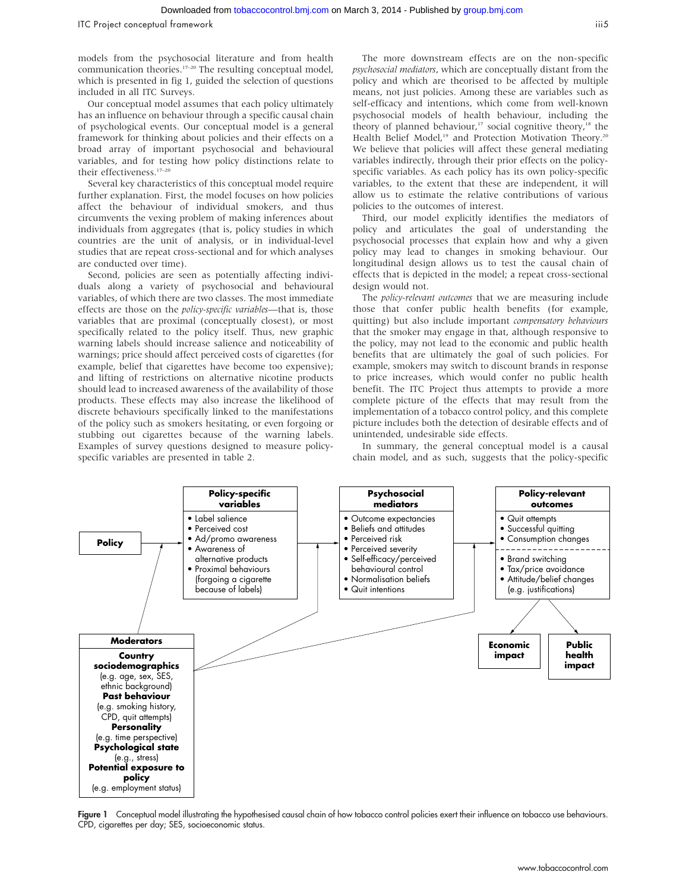models from the psychosocial literature and from health communication theories.<sup>17-20</sup> The resulting conceptual model, which is presented in fig 1, guided the selection of questions included in all ITC Surveys.

Our conceptual model assumes that each policy ultimately has an influence on behaviour through a specific causal chain of psychological events. Our conceptual model is a general framework for thinking about policies and their effects on a broad array of important psychosocial and behavioural variables, and for testing how policy distinctions relate to their effectiveness.<sup>17-20</sup>

Several key characteristics of this conceptual model require further explanation. First, the model focuses on how policies affect the behaviour of individual smokers, and thus circumvents the vexing problem of making inferences about individuals from aggregates (that is, policy studies in which countries are the unit of analysis, or in individual-level studies that are repeat cross-sectional and for which analyses are conducted over time).

Second, policies are seen as potentially affecting individuals along a variety of psychosocial and behavioural variables, of which there are two classes. The most immediate effects are those on the policy-specific variables—that is, those variables that are proximal (conceptually closest), or most specifically related to the policy itself. Thus, new graphic warning labels should increase salience and noticeability of warnings; price should affect perceived costs of cigarettes (for example, belief that cigarettes have become too expensive); and lifting of restrictions on alternative nicotine products should lead to increased awareness of the availability of those products. These effects may also increase the likelihood of discrete behaviours specifically linked to the manifestations of the policy such as smokers hesitating, or even forgoing or stubbing out cigarettes because of the warning labels. Examples of survey questions designed to measure policyspecific variables are presented in table 2.

The more downstream effects are on the non-specific psychosocial mediators, which are conceptually distant from the policy and which are theorised to be affected by multiple means, not just policies. Among these are variables such as self-efficacy and intentions, which come from well-known psychosocial models of health behaviour, including the theory of planned behaviour, $17$  social cognitive theory, $18$  the Health Belief Model,<sup>19</sup> and Protection Motivation Theory.<sup>20</sup> We believe that policies will affect these general mediating variables indirectly, through their prior effects on the policyspecific variables. As each policy has its own policy-specific variables, to the extent that these are independent, it will allow us to estimate the relative contributions of various policies to the outcomes of interest.

Third, our model explicitly identifies the mediators of policy and articulates the goal of understanding the psychosocial processes that explain how and why a given policy may lead to changes in smoking behaviour. Our longitudinal design allows us to test the causal chain of effects that is depicted in the model; a repeat cross-sectional design would not.

The policy-relevant outcomes that we are measuring include those that confer public health benefits (for example, quitting) but also include important *compensatory behaviours* that the smoker may engage in that, although responsive to the policy, may not lead to the economic and public health benefits that are ultimately the goal of such policies. For example, smokers may switch to discount brands in response to price increases, which would confer no public health benefit. The ITC Project thus attempts to provide a more complete picture of the effects that may result from the implementation of a tobacco control policy, and this complete picture includes both the detection of desirable effects and of unintended, undesirable side effects.

In summary, the general conceptual model is a causal chain model, and as such, suggests that the policy-specific



Figure 1 Conceptual model illustrating the hypothesised causal chain of how tobacco control policies exert their influence on tobacco use behaviours. CPD, cigarettes per day; SES, socioeconomic status.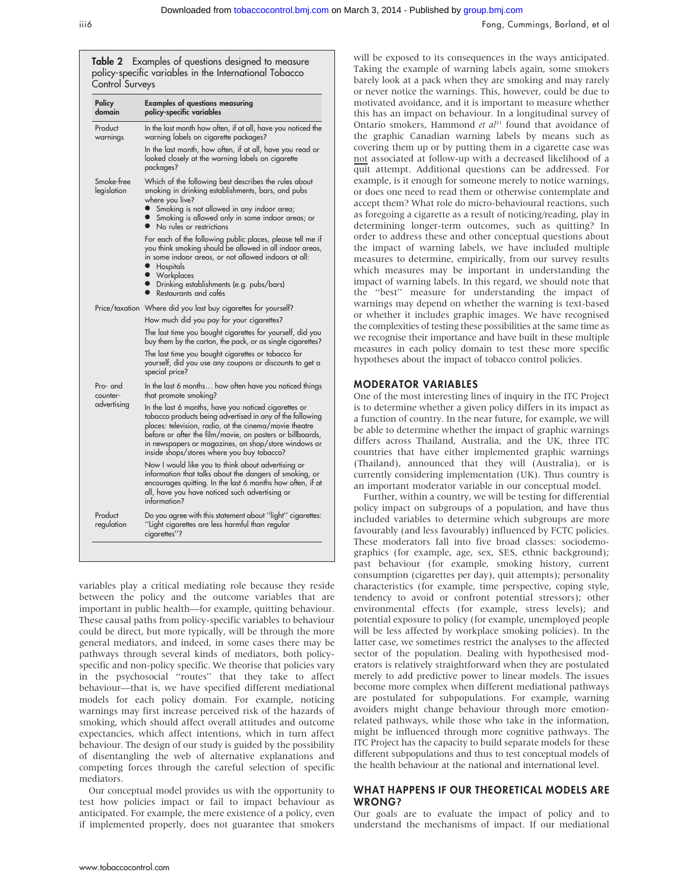iii6 Fong, Cummings, Borland, et al

Table 2 Examples of questions designed to measure policy-specific variables in the International Tobacco Control Surveys

| Policy<br>domain                    | <b>Examples of questions measuring</b><br>policy-specific variables                                                                                                                                                                                                                                                                            |
|-------------------------------------|------------------------------------------------------------------------------------------------------------------------------------------------------------------------------------------------------------------------------------------------------------------------------------------------------------------------------------------------|
| Product<br>warnings                 | In the last month how often, if at all, have you noticed the<br>warning labels on cigarette packages?                                                                                                                                                                                                                                          |
|                                     | In the last month, how often, if at all, have you read or<br>looked closely at the warning labels on cigarette<br>packages?                                                                                                                                                                                                                    |
| Smoke-free<br>legislation           | Which of the following best describes the rules about<br>smoking in drinking establishments, bars, and pubs<br>where you live?<br>Smoking is not allowed in any indoor area;<br>Smoking is allowed only in some indoor areas; or<br>No rules or restrictions                                                                                   |
|                                     | For each of the following public places, please tell me if<br>you think smoking should be allowed in all indoor areas,<br>in some indoor areas, or not allowed indoors at all:<br>Hospitals<br>• Workplaces<br>Drinking establishments (e.g. pubs/bars)<br>Restaurants and cafés                                                               |
|                                     | Price/taxation Where did you last buy cigarettes for yourself?                                                                                                                                                                                                                                                                                 |
|                                     | How much did you pay for your cigarettes?                                                                                                                                                                                                                                                                                                      |
|                                     | The last time you bought cigarettes for yourself, did you<br>buy them by the carton, the pack, or as single cigarettes?                                                                                                                                                                                                                        |
|                                     | The last time you bought cigarettes or tobacco for<br>yourself, did you use any coupons or discounts to get a<br>special price?                                                                                                                                                                                                                |
| Pro- and<br>counter-<br>advertising | In the last 6 months how often have you noticed things<br>that promote smoking?                                                                                                                                                                                                                                                                |
|                                     | In the last 6 months, have you noticed cigarettes or<br>tobacco products being advertised in any of the following<br>places: television, radio, at the cinema/movie theatre<br>before or after the film/movie, on posters or billboards,<br>in newspapers or magazines, on shop/store windows or<br>inside shops/stores where you buy tobacco? |
|                                     | Now I would like you to think about advertising or<br>information that talks about the dangers of smoking, or<br>encourages quitting. In the last 6 months how often, if at<br>all, have you have noticed such advertising or<br>information?                                                                                                  |
| Product<br>regulation               | Do you agree with this statement about "light" cigarettes:<br>"Light cigarettes are less harmful than regular<br>cigarettes"?                                                                                                                                                                                                                  |

variables play a critical mediating role because they reside between the policy and the outcome variables that are important in public health—for example, quitting behaviour. These causal paths from policy-specific variables to behaviour could be direct, but more typically, will be through the more general mediators, and indeed, in some cases there may be pathways through several kinds of mediators, both policyspecific and non-policy specific. We theorise that policies vary in the psychosocial ''routes'' that they take to affect behaviour—that is, we have specified different mediational models for each policy domain. For example, noticing warnings may first increase perceived risk of the hazards of smoking, which should affect overall attitudes and outcome expectancies, which affect intentions, which in turn affect behaviour. The design of our study is guided by the possibility of disentangling the web of alternative explanations and competing forces through the careful selection of specific mediators.

Our conceptual model provides us with the opportunity to test how policies impact or fail to impact behaviour as anticipated. For example, the mere existence of a policy, even if implemented properly, does not guarantee that smokers

will be exposed to its consequences in the ways anticipated. Taking the example of warning labels again, some smokers barely look at a pack when they are smoking and may rarely or never notice the warnings. This, however, could be due to motivated avoidance, and it is important to measure whether this has an impact on behaviour. In a longitudinal survey of Ontario smokers, Hammond et  $al^{21}$  found that avoidance of the graphic Canadian warning labels by means such as covering them up or by putting them in a cigarette case was not associated at follow-up with a decreased likelihood of a quit attempt. Additional questions can be addressed. For example, is it enough for someone merely to notice warnings, or does one need to read them or otherwise contemplate and accept them? What role do micro-behavioural reactions, such as foregoing a cigarette as a result of noticing/reading, play in determining longer-term outcomes, such as quitting? In order to address these and other conceptual questions about the impact of warning labels, we have included multiple measures to determine, empirically, from our survey results which measures may be important in understanding the impact of warning labels. In this regard, we should note that the ''best'' measure for understanding the impact of warnings may depend on whether the warning is text-based or whether it includes graphic images. We have recognised the complexities of testing these possibilities at the same time as we recognise their importance and have built in these multiple measures in each policy domain to test these more specific hypotheses about the impact of tobacco control policies.

#### MODERATOR VARIABLES

One of the most interesting lines of inquiry in the ITC Project is to determine whether a given policy differs in its impact as a function of country. In the near future, for example, we will be able to determine whether the impact of graphic warnings differs across Thailand, Australia, and the UK, three ITC countries that have either implemented graphic warnings (Thailand), announced that they will (Australia), or is currently considering implementation (UK). Thus country is an important moderator variable in our conceptual model.

Further, within a country, we will be testing for differential policy impact on subgroups of a population, and have thus included variables to determine which subgroups are more favourably (and less favourably) influenced by FCTC policies. These moderators fall into five broad classes: sociodemographics (for example, age, sex, SES, ethnic background); past behaviour (for example, smoking history, current consumption (cigarettes per day), quit attempts); personality characteristics (for example, time perspective, coping style, tendency to avoid or confront potential stressors); other environmental effects (for example, stress levels); and potential exposure to policy (for example, unemployed people will be less affected by workplace smoking policies). In the latter case, we sometimes restrict the analyses to the affected sector of the population. Dealing with hypothesised moderators is relatively straightforward when they are postulated merely to add predictive power to linear models. The issues become more complex when different mediational pathways are postulated for subpopulations. For example, warning avoiders might change behaviour through more emotionrelated pathways, while those who take in the information, might be influenced through more cognitive pathways. The ITC Project has the capacity to build separate models for these different subpopulations and thus to test conceptual models of the health behaviour at the national and international level.

### WHAT HAPPENS IF OUR THEORETICAL MODELS ARE WRONG?

Our goals are to evaluate the impact of policy and to understand the mechanisms of impact. If our mediational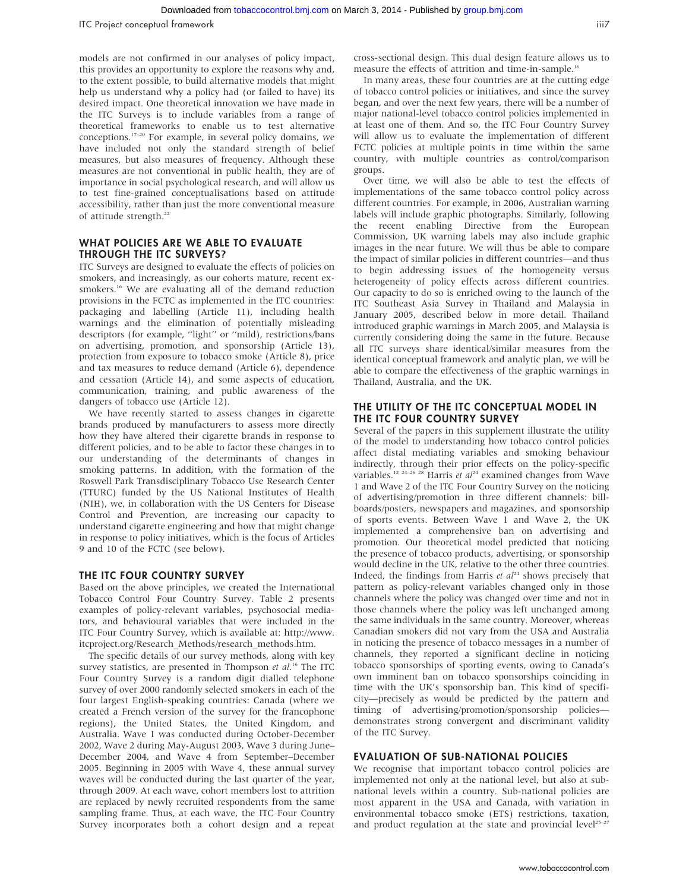models are not confirmed in our analyses of policy impact, this provides an opportunity to explore the reasons why and, to the extent possible, to build alternative models that might help us understand why a policy had (or failed to have) its desired impact. One theoretical innovation we have made in the ITC Surveys is to include variables from a range of theoretical frameworks to enable us to test alternative conceptions.17–20 For example, in several policy domains, we have included not only the standard strength of belief measures, but also measures of frequency. Although these measures are not conventional in public health, they are of importance in social psychological research, and will allow us to test fine-grained conceptualisations based on attitude accessibility, rather than just the more conventional measure of attitude strength.<sup>22</sup>

#### WHAT POLICIES ARE WE ABLE TO EVALUATE THROUGH THE ITC SURVEYS?

ITC Surveys are designed to evaluate the effects of policies on smokers, and increasingly, as our cohorts mature, recent exsmokers.<sup>16</sup> We are evaluating all of the demand reduction provisions in the FCTC as implemented in the ITC countries: packaging and labelling (Article 11), including health warnings and the elimination of potentially misleading descriptors (for example, ''light'' or ''mild), restrictions/bans on advertising, promotion, and sponsorship (Article 13), protection from exposure to tobacco smoke (Article 8), price and tax measures to reduce demand (Article 6), dependence and cessation (Article 14), and some aspects of education, communication, training, and public awareness of the dangers of tobacco use (Article 12).

We have recently started to assess changes in cigarette brands produced by manufacturers to assess more directly how they have altered their cigarette brands in response to different policies, and to be able to factor these changes in to our understanding of the determinants of changes in smoking patterns. In addition, with the formation of the Roswell Park Transdisciplinary Tobacco Use Research Center (TTURC) funded by the US National Institutes of Health (NIH), we, in collaboration with the US Centers for Disease Control and Prevention, are increasing our capacity to understand cigarette engineering and how that might change in response to policy initiatives, which is the focus of Articles 9 and 10 of the FCTC (see below).

#### THE ITC FOUR COUNTRY SURVEY

Based on the above principles, we created the International Tobacco Control Four Country Survey. Table 2 presents examples of policy-relevant variables, psychosocial mediators, and behavioural variables that were included in the ITC Four Country Survey, which is available at: http://www. itcproject.org/Research\_Methods/research\_methods.htm.

The specific details of our survey methods, along with key survey statistics, are presented in Thompson et al.<sup>16</sup> The ITC Four Country Survey is a random digit dialled telephone survey of over 2000 randomly selected smokers in each of the four largest English-speaking countries: Canada (where we created a French version of the survey for the francophone regions), the United States, the United Kingdom, and Australia. Wave 1 was conducted during October-December 2002, Wave 2 during May-August 2003, Wave 3 during June– December 2004, and Wave 4 from September–December 2005. Beginning in 2005 with Wave 4, these annual survey waves will be conducted during the last quarter of the year, through 2009. At each wave, cohort members lost to attrition are replaced by newly recruited respondents from the same sampling frame. Thus, at each wave, the ITC Four Country Survey incorporates both a cohort design and a repeat

cross-sectional design. This dual design feature allows us to measure the effects of attrition and time-in-sample.16

In many areas, these four countries are at the cutting edge of tobacco control policies or initiatives, and since the survey began, and over the next few years, there will be a number of major national-level tobacco control policies implemented in at least one of them. And so, the ITC Four Country Survey will allow us to evaluate the implementation of different FCTC policies at multiple points in time within the same country, with multiple countries as control/comparison groups.

Over time, we will also be able to test the effects of implementations of the same tobacco control policy across different countries. For example, in 2006, Australian warning labels will include graphic photographs. Similarly, following the recent enabling Directive from the European Commission, UK warning labels may also include graphic images in the near future. We will thus be able to compare the impact of similar policies in different countries—and thus to begin addressing issues of the homogeneity versus heterogeneity of policy effects across different countries. Our capacity to do so is enriched owing to the launch of the ITC Southeast Asia Survey in Thailand and Malaysia in January 2005, described below in more detail. Thailand introduced graphic warnings in March 2005, and Malaysia is currently considering doing the same in the future. Because all ITC surveys share identical/similar measures from the identical conceptual framework and analytic plan, we will be able to compare the effectiveness of the graphic warnings in Thailand, Australia, and the UK.

### THE UTILITY OF THE ITC CONCEPTUAL MODEL IN THE ITC FOUR COUNTRY SURVEY

Several of the papers in this supplement illustrate the utility of the model to understanding how tobacco control policies affect distal mediating variables and smoking behaviour indirectly, through their prior effects on the policy-specific variables.<sup>12 24–26 28</sup> Harris et al<sup>24</sup> examined changes from Wave 1 and Wave 2 of the ITC Four Country Survey on the noticing of advertising/promotion in three different channels: billboards/posters, newspapers and magazines, and sponsorship of sports events. Between Wave 1 and Wave 2, the UK implemented a comprehensive ban on advertising and promotion. Our theoretical model predicted that noticing the presence of tobacco products, advertising, or sponsorship would decline in the UK, relative to the other three countries. Indeed, the findings from Harris et  $al<sup>24</sup>$  shows precisely that pattern as policy-relevant variables changed only in those channels where the policy was changed over time and not in those channels where the policy was left unchanged among the same individuals in the same country. Moreover, whereas Canadian smokers did not vary from the USA and Australia in noticing the presence of tobacco messages in a number of channels, they reported a significant decline in noticing tobacco sponsorships of sporting events, owing to Canada's own imminent ban on tobacco sponsorships coinciding in time with the UK's sponsorship ban. This kind of specificity—precisely as would be predicted by the pattern and timing of advertising/promotion/sponsorship policies demonstrates strong convergent and discriminant validity of the ITC Survey.

#### EVALUATION OF SUB-NATIONAL POLICIES

We recognise that important tobacco control policies are implemented not only at the national level, but also at subnational levels within a country. Sub-national policies are most apparent in the USA and Canada, with variation in environmental tobacco smoke (ETS) restrictions, taxation, and product regulation at the state and provincial level $25-27$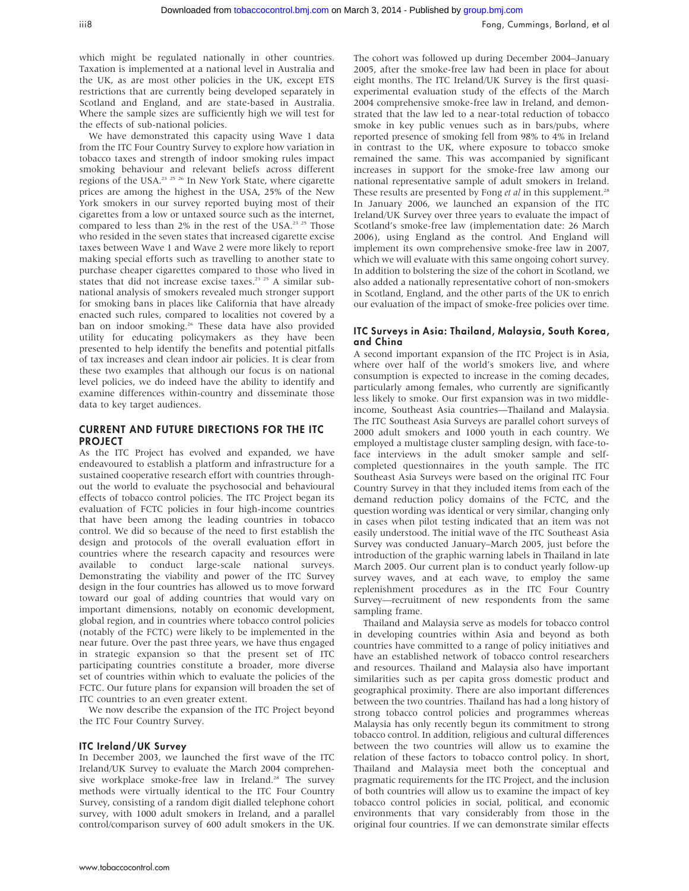which might be regulated nationally in other countries. Taxation is implemented at a national level in Australia and the UK, as are most other policies in the UK, except ETS restrictions that are currently being developed separately in Scotland and England, and are state-based in Australia. Where the sample sizes are sufficiently high we will test for the effects of sub-national policies.

We have demonstrated this capacity using Wave 1 data from the ITC Four Country Survey to explore how variation in tobacco taxes and strength of indoor smoking rules impact smoking behaviour and relevant beliefs across different regions of the USA.23 25 26 In New York State, where cigarette prices are among the highest in the USA, 25% of the New York smokers in our survey reported buying most of their cigarettes from a low or untaxed source such as the internet, compared to less than 2% in the rest of the USA.<sup>23 25</sup> Those who resided in the seven states that increased cigarette excise taxes between Wave 1 and Wave 2 were more likely to report making special efforts such as travelling to another state to purchase cheaper cigarettes compared to those who lived in states that did not increase excise taxes.<sup>23 25</sup> A similar subnational analysis of smokers revealed much stronger support for smoking bans in places like California that have already enacted such rules, compared to localities not covered by a ban on indoor smoking.<sup>26</sup> These data have also provided utility for educating policymakers as they have been presented to help identify the benefits and potential pitfalls of tax increases and clean indoor air policies. It is clear from these two examples that although our focus is on national level policies, we do indeed have the ability to identify and examine differences within-country and disseminate those data to key target audiences.

### CURRENT AND FUTURE DIRECTIONS FOR THE ITC PROJECT

As the ITC Project has evolved and expanded, we have endeavoured to establish a platform and infrastructure for a sustained cooperative research effort with countries throughout the world to evaluate the psychosocial and behavioural effects of tobacco control policies. The ITC Project began its evaluation of FCTC policies in four high-income countries that have been among the leading countries in tobacco control. We did so because of the need to first establish the design and protocols of the overall evaluation effort in countries where the research capacity and resources were available to conduct large-scale national surveys. Demonstrating the viability and power of the ITC Survey design in the four countries has allowed us to move forward toward our goal of adding countries that would vary on important dimensions, notably on economic development, global region, and in countries where tobacco control policies (notably of the FCTC) were likely to be implemented in the near future. Over the past three years, we have thus engaged in strategic expansion so that the present set of ITC participating countries constitute a broader, more diverse set of countries within which to evaluate the policies of the FCTC. Our future plans for expansion will broaden the set of ITC countries to an even greater extent.

We now describe the expansion of the ITC Project beyond the ITC Four Country Survey.

#### ITC Ireland/UK Survey

In December 2003, we launched the first wave of the ITC Ireland/UK Survey to evaluate the March 2004 comprehensive workplace smoke-free law in Ireland.<sup>28</sup> The survey methods were virtually identical to the ITC Four Country Survey, consisting of a random digit dialled telephone cohort survey, with 1000 adult smokers in Ireland, and a parallel control/comparison survey of 600 adult smokers in the UK.

The cohort was followed up during December 2004–January 2005, after the smoke-free law had been in place for about eight months. The ITC Ireland/UK Survey is the first quasiexperimental evaluation study of the effects of the March 2004 comprehensive smoke-free law in Ireland, and demonstrated that the law led to a near-total reduction of tobacco smoke in key public venues such as in bars/pubs, where reported presence of smoking fell from 98% to 4% in Ireland in contrast to the UK, where exposure to tobacco smoke remained the same. This was accompanied by significant increases in support for the smoke-free law among our national representative sample of adult smokers in Ireland. These results are presented by Fong et al in this supplement.<sup>28</sup> In January 2006, we launched an expansion of the ITC Ireland/UK Survey over three years to evaluate the impact of Scotland's smoke-free law (implementation date: 26 March 2006), using England as the control. And England will implement its own comprehensive smoke-free law in 2007, which we will evaluate with this same ongoing cohort survey. In addition to bolstering the size of the cohort in Scotland, we also added a nationally representative cohort of non-smokers in Scotland, England, and the other parts of the UK to enrich our evaluation of the impact of smoke-free policies over time.

### ITC Surveys in Asia: Thailand, Malaysia, South Korea, and China

A second important expansion of the ITC Project is in Asia, where over half of the world's smokers live, and where consumption is expected to increase in the coming decades, particularly among females, who currently are significantly less likely to smoke. Our first expansion was in two middleincome, Southeast Asia countries—Thailand and Malaysia. The ITC Southeast Asia Surveys are parallel cohort surveys of 2000 adult smokers and 1000 youth in each country. We employed a multistage cluster sampling design, with face-toface interviews in the adult smoker sample and selfcompleted questionnaires in the youth sample. The ITC Southeast Asia Surveys were based on the original ITC Four Country Survey in that they included items from each of the demand reduction policy domains of the FCTC, and the question wording was identical or very similar, changing only in cases when pilot testing indicated that an item was not easily understood. The initial wave of the ITC Southeast Asia Survey was conducted January–March 2005, just before the introduction of the graphic warning labels in Thailand in late March 2005. Our current plan is to conduct yearly follow-up survey waves, and at each wave, to employ the same replenishment procedures as in the ITC Four Country Survey—recruitment of new respondents from the same sampling frame.

Thailand and Malaysia serve as models for tobacco control in developing countries within Asia and beyond as both countries have committed to a range of policy initiatives and have an established network of tobacco control researchers and resources. Thailand and Malaysia also have important similarities such as per capita gross domestic product and geographical proximity. There are also important differences between the two countries. Thailand has had a long history of strong tobacco control policies and programmes whereas Malaysia has only recently begun its commitment to strong tobacco control. In addition, religious and cultural differences between the two countries will allow us to examine the relation of these factors to tobacco control policy. In short, Thailand and Malaysia meet both the conceptual and pragmatic requirements for the ITC Project, and the inclusion of both countries will allow us to examine the impact of key tobacco control policies in social, political, and economic environments that vary considerably from those in the original four countries. If we can demonstrate similar effects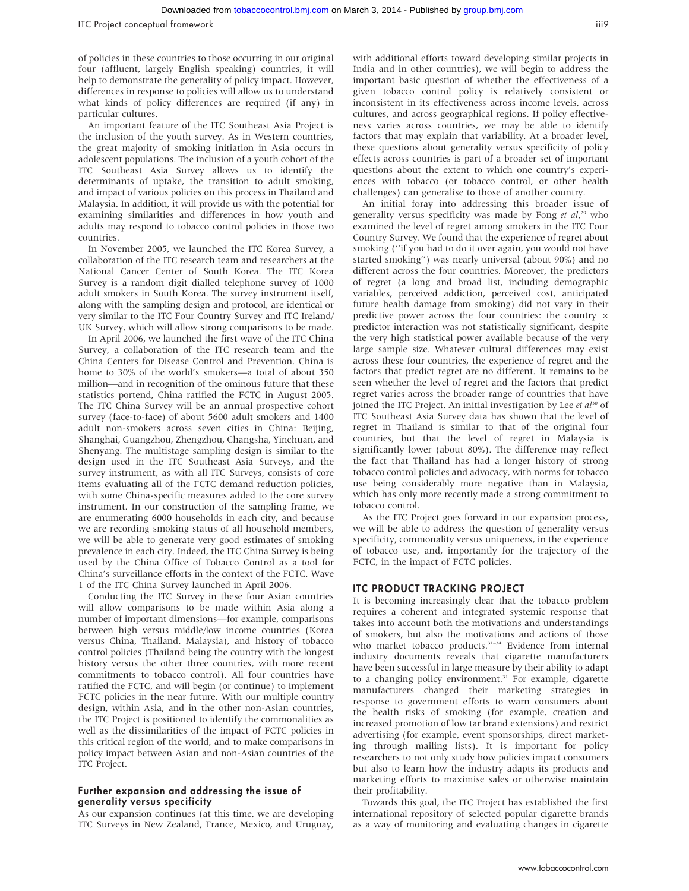of policies in these countries to those occurring in our original four (affluent, largely English speaking) countries, it will help to demonstrate the generality of policy impact. However, differences in response to policies will allow us to understand what kinds of policy differences are required (if any) in particular cultures.

An important feature of the ITC Southeast Asia Project is the inclusion of the youth survey. As in Western countries, the great majority of smoking initiation in Asia occurs in adolescent populations. The inclusion of a youth cohort of the ITC Southeast Asia Survey allows us to identify the determinants of uptake, the transition to adult smoking, and impact of various policies on this process in Thailand and Malaysia. In addition, it will provide us with the potential for examining similarities and differences in how youth and adults may respond to tobacco control policies in those two countries.

In November 2005, we launched the ITC Korea Survey, a collaboration of the ITC research team and researchers at the National Cancer Center of South Korea. The ITC Korea Survey is a random digit dialled telephone survey of 1000 adult smokers in South Korea. The survey instrument itself, along with the sampling design and protocol, are identical or very similar to the ITC Four Country Survey and ITC Ireland/ UK Survey, which will allow strong comparisons to be made.

In April 2006, we launched the first wave of the ITC China Survey, a collaboration of the ITC research team and the China Centers for Disease Control and Prevention. China is home to 30% of the world's smokers—a total of about 350 million—and in recognition of the ominous future that these statistics portend, China ratified the FCTC in August 2005. The ITC China Survey will be an annual prospective cohort survey (face-to-face) of about 5600 adult smokers and 1400 adult non-smokers across seven cities in China: Beijing, Shanghai, Guangzhou, Zhengzhou, Changsha, Yinchuan, and Shenyang. The multistage sampling design is similar to the design used in the ITC Southeast Asia Surveys, and the survey instrument, as with all ITC Surveys, consists of core items evaluating all of the FCTC demand reduction policies, with some China-specific measures added to the core survey instrument. In our construction of the sampling frame, we are enumerating 6000 households in each city, and because we are recording smoking status of all household members, we will be able to generate very good estimates of smoking prevalence in each city. Indeed, the ITC China Survey is being used by the China Office of Tobacco Control as a tool for China's surveillance efforts in the context of the FCTC. Wave 1 of the ITC China Survey launched in April 2006.

Conducting the ITC Survey in these four Asian countries will allow comparisons to be made within Asia along a number of important dimensions—for example, comparisons between high versus middle/low income countries (Korea versus China, Thailand, Malaysia), and history of tobacco control policies (Thailand being the country with the longest history versus the other three countries, with more recent commitments to tobacco control). All four countries have ratified the FCTC, and will begin (or continue) to implement FCTC policies in the near future. With our multiple country design, within Asia, and in the other non-Asian countries, the ITC Project is positioned to identify the commonalities as well as the dissimilarities of the impact of FCTC policies in this critical region of the world, and to make comparisons in policy impact between Asian and non-Asian countries of the ITC Project.

#### Further expansion and addressing the issue of generality versus specificity

As our expansion continues (at this time, we are developing ITC Surveys in New Zealand, France, Mexico, and Uruguay,

with additional efforts toward developing similar projects in India and in other countries), we will begin to address the important basic question of whether the effectiveness of a given tobacco control policy is relatively consistent or inconsistent in its effectiveness across income levels, across cultures, and across geographical regions. If policy effectiveness varies across countries, we may be able to identify factors that may explain that variability. At a broader level, these questions about generality versus specificity of policy effects across countries is part of a broader set of important questions about the extent to which one country's experiences with tobacco (or tobacco control, or other health challenges) can generalise to those of another country.

An initial foray into addressing this broader issue of generality versus specificity was made by Fong et al,<sup>29</sup> who examined the level of regret among smokers in the ITC Four Country Survey. We found that the experience of regret about smoking (''if you had to do it over again, you would not have started smoking'') was nearly universal (about 90%) and no different across the four countries. Moreover, the predictors of regret (a long and broad list, including demographic variables, perceived addiction, perceived cost, anticipated future health damage from smoking) did not vary in their predictive power across the four countries: the country  $\times$ predictor interaction was not statistically significant, despite the very high statistical power available because of the very large sample size. Whatever cultural differences may exist across these four countries, the experience of regret and the factors that predict regret are no different. It remains to be seen whether the level of regret and the factors that predict regret varies across the broader range of countries that have joined the ITC Project. An initial investigation by Lee  $et$   $al<sup>30</sup>$  of ITC Southeast Asia Survey data has shown that the level of regret in Thailand is similar to that of the original four countries, but that the level of regret in Malaysia is significantly lower (about 80%). The difference may reflect the fact that Thailand has had a longer history of strong tobacco control policies and advocacy, with norms for tobacco use being considerably more negative than in Malaysia, which has only more recently made a strong commitment to tobacco control.

As the ITC Project goes forward in our expansion process, we will be able to address the question of generality versus specificity, commonality versus uniqueness, in the experience of tobacco use, and, importantly for the trajectory of the FCTC, in the impact of FCTC policies.

#### ITC PRODUCT TRACKING PROJECT

It is becoming increasingly clear that the tobacco problem requires a coherent and integrated systemic response that takes into account both the motivations and understandings of smokers, but also the motivations and actions of those who market tobacco products.<sup>31–34</sup> Evidence from internal industry documents reveals that cigarette manufacturers have been successful in large measure by their ability to adapt to a changing policy environment.<sup>31</sup> For example, cigarette manufacturers changed their marketing strategies in response to government efforts to warn consumers about the health risks of smoking (for example, creation and increased promotion of low tar brand extensions) and restrict advertising (for example, event sponsorships, direct marketing through mailing lists). It is important for policy researchers to not only study how policies impact consumers but also to learn how the industry adapts its products and marketing efforts to maximise sales or otherwise maintain their profitability.

Towards this goal, the ITC Project has established the first international repository of selected popular cigarette brands as a way of monitoring and evaluating changes in cigarette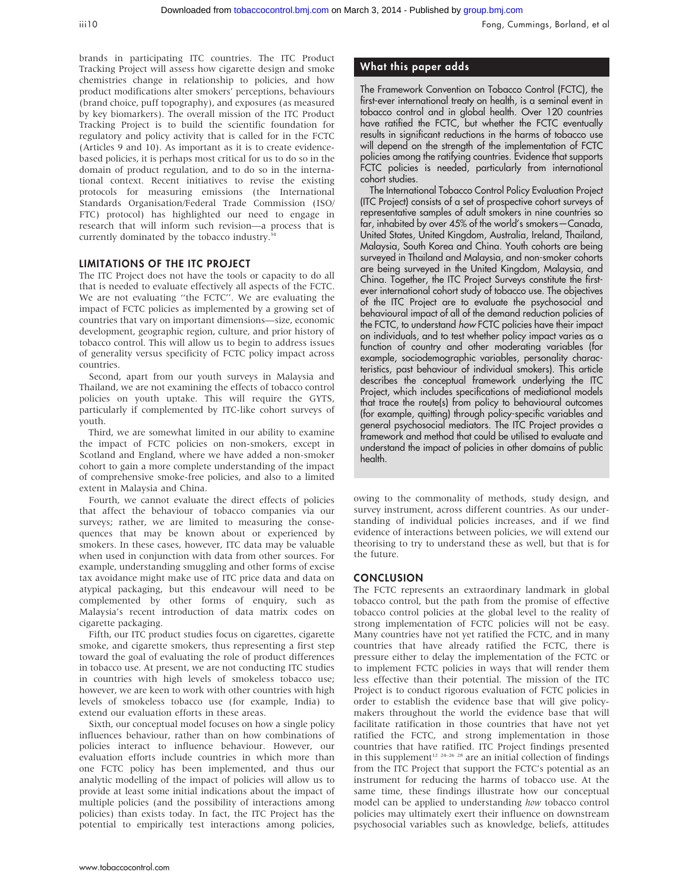brands in participating ITC countries. The ITC Product Tracking Project will assess how cigarette design and smoke chemistries change in relationship to policies, and how product modifications alter smokers' perceptions, behaviours (brand choice, puff topography), and exposures (as measured by key biomarkers). The overall mission of the ITC Product Tracking Project is to build the scientific foundation for regulatory and policy activity that is called for in the FCTC (Articles 9 and 10). As important as it is to create evidencebased policies, it is perhaps most critical for us to do so in the domain of product regulation, and to do so in the international context. Recent initiatives to revise the existing protocols for measuring emissions (the International Standards Organisation/Federal Trade Commission (ISO/ FTC) protocol) has highlighted our need to engage in research that will inform such revision—a process that is currently dominated by the tobacco industry.<sup>34</sup>

# LIMITATIONS OF THE ITC PROJECT

The ITC Project does not have the tools or capacity to do all that is needed to evaluate effectively all aspects of the FCTC. We are not evaluating ''the FCTC''. We are evaluating the impact of FCTC policies as implemented by a growing set of countries that vary on important dimensions—size, economic development, geographic region, culture, and prior history of tobacco control. This will allow us to begin to address issues of generality versus specificity of FCTC policy impact across countries.

Second, apart from our youth surveys in Malaysia and Thailand, we are not examining the effects of tobacco control policies on youth uptake. This will require the GYTS, particularly if complemented by ITC-like cohort surveys of youth.

Third, we are somewhat limited in our ability to examine the impact of FCTC policies on non-smokers, except in Scotland and England, where we have added a non-smoker cohort to gain a more complete understanding of the impact of comprehensive smoke-free policies, and also to a limited extent in Malaysia and China.

Fourth, we cannot evaluate the direct effects of policies that affect the behaviour of tobacco companies via our surveys; rather, we are limited to measuring the consequences that may be known about or experienced by smokers. In these cases, however, ITC data may be valuable when used in conjunction with data from other sources. For example, understanding smuggling and other forms of excise tax avoidance might make use of ITC price data and data on atypical packaging, but this endeavour will need to be complemented by other forms of enquiry, such as Malaysia's recent introduction of data matrix codes on cigarette packaging.

Fifth, our ITC product studies focus on cigarettes, cigarette smoke, and cigarette smokers, thus representing a first step toward the goal of evaluating the role of product differences in tobacco use. At present, we are not conducting ITC studies in countries with high levels of smokeless tobacco use; however, we are keen to work with other countries with high levels of smokeless tobacco use (for example, India) to extend our evaluation efforts in these areas.

Sixth, our conceptual model focuses on how a single policy influences behaviour, rather than on how combinations of policies interact to influence behaviour. However, our evaluation efforts include countries in which more than one FCTC policy has been implemented, and thus our analytic modelling of the impact of policies will allow us to provide at least some initial indications about the impact of multiple policies (and the possibility of interactions among policies) than exists today. In fact, the ITC Project has the potential to empirically test interactions among policies,

# What this paper adds

The Framework Convention on Tobacco Control (FCTC), the first-ever international treaty on health, is a seminal event in tobacco control and in global health. Over 120 countries have ratified the FCTC, but whether the FCTC eventually results in significant reductions in the harms of tobacco use will depend on the strength of the implementation of FCTC policies among the ratifying countries. Evidence that supports FCTC policies is needed, particularly from international cohort studies.

The International Tobacco Control Policy Evaluation Project (ITC Project) consists of a set of prospective cohort surveys of representative samples of adult smokers in nine countries so far, inhabited by over 45% of the world's smokers—Canada, United States, United Kingdom, Australia, Ireland, Thailand, Malaysia, South Korea and China. Youth cohorts are being surveyed in Thailand and Malaysia, and non-smoker cohorts are being surveyed in the United Kingdom, Malaysia, and China. Together, the ITC Project Surveys constitute the firstever international cohort study of tobacco use. The objectives of the ITC Project are to evaluate the psychosocial and behavioural impact of all of the demand reduction policies of the FCTC, to understand how FCTC policies have their impact on individuals, and to test whether policy impact varies as a function of country and other moderating variables (for example, sociodemographic variables, personality characteristics, past behaviour of individual smokers). This article describes the conceptual framework underlying the ITC Project, which includes specifications of mediational models that trace the route(s) from policy to behavioural outcomes (for example, quitting) through policy-specific variables and general psychosocial mediators. The ITC Project provides a framework and method that could be utilised to evaluate and understand the impact of policies in other domains of public health.

owing to the commonality of methods, study design, and survey instrument, across different countries. As our understanding of individual policies increases, and if we find evidence of interactions between policies, we will extend our theorising to try to understand these as well, but that is for the future.

# CONCLUSION

The FCTC represents an extraordinary landmark in global tobacco control, but the path from the promise of effective tobacco control policies at the global level to the reality of strong implementation of FCTC policies will not be easy. Many countries have not yet ratified the FCTC, and in many countries that have already ratified the FCTC, there is pressure either to delay the implementation of the FCTC or to implement FCTC policies in ways that will render them less effective than their potential. The mission of the ITC Project is to conduct rigorous evaluation of FCTC policies in order to establish the evidence base that will give policymakers throughout the world the evidence base that will facilitate ratification in those countries that have not yet ratified the FCTC, and strong implementation in those countries that have ratified. ITC Project findings presented in this supplement<sup>12</sup>  $24-26$   $28$  are an initial collection of findings from the ITC Project that support the FCTC's potential as an instrument for reducing the harms of tobacco use. At the same time, these findings illustrate how our conceptual model can be applied to understanding how tobacco control policies may ultimately exert their influence on downstream psychosocial variables such as knowledge, beliefs, attitudes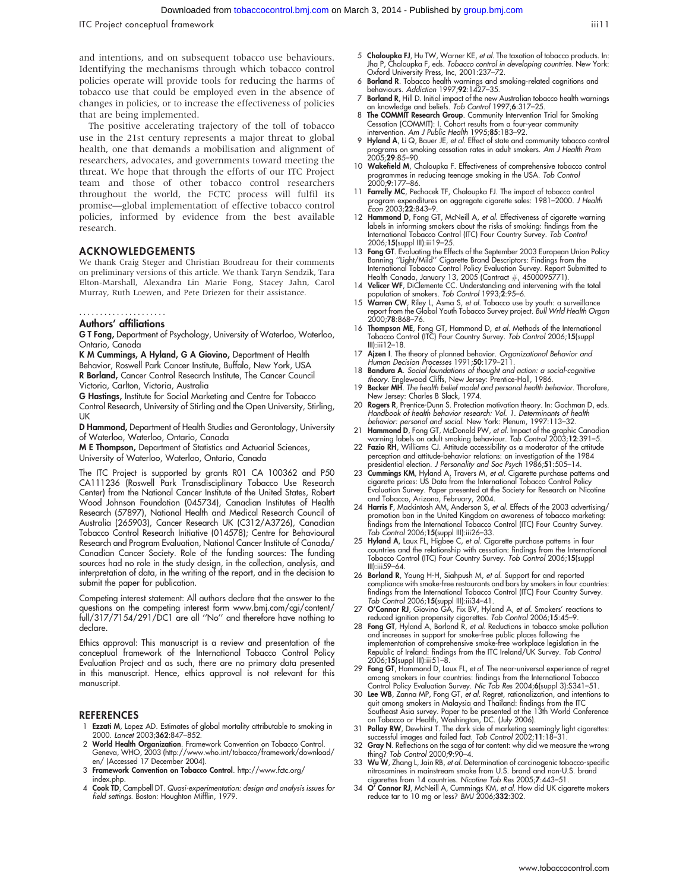and intentions, and on subsequent tobacco use behaviours. Identifying the mechanisms through which tobacco control policies operate will provide tools for reducing the harms of tobacco use that could be employed even in the absence of changes in policies, or to increase the effectiveness of policies that are being implemented.

The positive accelerating trajectory of the toll of tobacco use in the 21st century represents a major threat to global health, one that demands a mobilisation and alignment of researchers, advocates, and governments toward meeting the threat. We hope that through the efforts of our ITC Project team and those of other tobacco control researchers throughout the world, the FCTC process will fulfil its promise—global implementation of effective tobacco control policies, informed by evidence from the best available research.

#### ACKNOWLEDGEMENTS

We thank Craig Steger and Christian Boudreau for their comments on preliminary versions of this article. We thank Taryn Sendzik, Tara Elton-Marshall, Alexandra Lin Marie Fong, Stacey Jahn, Carol Murray, Ruth Loewen, and Pete Driezen for their assistance.

#### Authors' affiliations .....................

G T Fong, Department of Psychology, University of Waterloo, Waterloo, Ontario, Canada

K M Cummings, A Hyland, G A Giovino, Department of Health Behavior, Roswell Park Cancer Institute, Buffalo, New York, USA

R Borland, Cancer Control Research Institute, The Cancer Council Victoria, Carlton, Victoria, Australia

G Hastings, Institute for Social Marketing and Centre for Tobacco Control Research, University of Stirling and the Open University, Stirling, UK

D Hammond, Department of Health Studies and Gerontology, University of Waterloo, Waterloo, Ontario, Canada

M E Thompson, Department of Statistics and Actuarial Sciences, University of Waterloo, Waterloo, Ontario, Canada

The ITC Project is supported by grants R01 CA 100362 and P50 CA111236 (Roswell Park Transdisciplinary Tobacco Use Research Center) from the National Cancer Institute of the United States, Robert Wood Johnson Foundation (045734), Canadian Institutes of Health Research (57897), National Health and Medical Research Council of Australia (265903), Cancer Research UK (C312/A3726), Canadian Tobacco Control Research Initiative (014578); Centre for Behavioural Research and Program Evaluation, National Cancer Institute of Canada/ Canadian Cancer Society. Role of the funding sources: The funding sources had no role in the study design, in the collection, analysis, and interpretation of data, in the writing of the report, and in the decision to submit the paper for publication.

Competing interest statement: All authors declare that the answer to the questions on the competing interest form www.bmj.com/cgi/content/ full/317/7154/291/DC1 are all ''No'' and therefore have nothing to declare.

Ethics approval: This manuscript is a review and presentation of the conceptual framework of the International Tobacco Control Policy Evaluation Project and as such, there are no primary data presented in this manuscript. Hence, ethics approval is not relevant for this manuscript.

#### **REFERENCES**

- 1 Ezzati M, Lopez AD. Estimates of global mortality attributable to smoking in 2000. Lancet 2003;362:847–852.
- 2 World Health Organization. Framework Convention on Tobacco Control. Geneva, WHO, 2003 (http://www.who.int/tobacco/framework/download/ en/ (Accessed 17 December 2004).
- 3 Framework Convention on Tobacco Control. http://www.fctc.org/ index.php
- 4 Cook TD, Campbell DT. Quasi-experimentation: design and analysis issues for field settings. Boston: Houghton Mifflin, 1979.
- 5 Chaloupka FJ, Hu TW, Warner KE, et al. The taxation of tobacco products. In: Jha P, Chaloupka F, eds. Tobacco control in developing countries. New York: Oxford University Press, Inc, 2001:237–72.
- 6 Borland R. Tobacco health warnings and smoking-related cognitions and behaviours. Addiction 1997;92:1427–35.
- 7 Borland R, Hill D. Initial impact of the new Australian tobacco health warnings on knowledge and beliefs. Tob Control 1997;6:317–25.
- 8 The COMMIT Research Group. Community Intervention Trial for Smoking Cessation (COMMIT): I. Cohort results from a four-year community intervention. Am J Public Health 1995;85:183–92.
- 9 Hyland A, Li Q, Bauer JE, et al. Effect of state and community tobacco control programs on smoking cessation rates in adult smokers. A*m J Health Prom*<br>2005;**29**:85–90.
- 10 Wakefield M, Chaloupka F. Effectiveness of comprehensive tobacco control programmes in reducing teenage smoking in the USA. *Tob Control*<br>2000;**9**:177–86.
- 11 Farrelly MC, Pechacek TF, Chaloupka FJ. The impact of tobacco control program expenditures on aggregate cigarette sales: 1981–2000. J Health Econ 2003;22:843–9.
- 12 Hammond D, Fong GT, McNeill A, et al. Effectiveness of cigarette warning labels in informing smokers about the risks of smoking: findings from the International Tobacco Control (ITC) Four Country Survey. Tob Control 2006;15(suppl III):iii19–25.
- 13 Fong GT. Evaluating the Effects of the September 2003 European Union Policy Banning ''Light/Mild'' Cigarette Brand Descriptors: Findings from the
- International Tobacco Control Policy Evaluation Survey. Report Submitted to<br>Health Canada, January 13, 2005 (Contract #, 4500095771).<br>14 Velicer WF, DiClemente CC. Understanding and intervening with the total<br>population of
- 15 Warren CW, Riley L, Asma S, et al. Tobacco use by youth: a surveillance report from the Global Youth Tobacco Survey project. Bull Wrld Health Organ 2000;78:868–76.
- 16 Thompson ME, Fong GT, Hammond D, et al. Methods of the International Tobacco Control (ITC) Four Country Survey. Tob Control 2006;15(suppl III):iii12–18.
- 17 Ajzen I. The theory of planned behavior. Organizational Behavior and Human Decision Processes 1991;50:179-211
- 18 **Bandura A**. Social foundations of thought and action: a social-cognitive theory. Englewood Cliffs, New Jersey: Prentice-Hall, 1986.
- 19 Becker MH. The health belief model and personal health behavior. Thorofare,
- New Jersey: Charles B Slack, 1974.<br>20 **Rogers R**, Prentice-Dunn S. Protection motivation theory. In: Gochman D, eds. Handbook of health behavior research: Vol. 1. Determinants of health behavior: personal and social. New York: Plenum, 1997:113–32.
- 21 Hammond D, Fong GT, McDonald PW, et al. Impact of the graphic Canadian warning labels on adult smoking behaviour. Tob Control 2003;12:391–5.
- 22 Fazio RH, Williams CJ. Attitude accessibility as a moderator of the attitude perception and attitude-behavior relations: an investigation of the 1984<br>presidential election. J Personality and Soc Psych 1986;**51**:505–14.<br>**Commings KM**, Hyland A, Travers M, et al. Cigarette purchase patterns and<br>cigar
- Evaluation Survey. Paper presented at the Society for Research on Nicotine and Tobacco, Arizona, February, 2004.
- 24 Harris F, Mackintosh AM, Anderson S, et al. Effects of the 2003 advertising/ promotion ban in the United Kingdom on awareness of tobacco marketing: findings from the International Tobacco Control (ITC) Four Country Survey. Tob Control 2006;15(suppl III):iii26–33.
- 25 Hyland A, Laux FL, Higbee C, et al. Cigarette purchase patterns in four countries and the relationship with cessation: findings from the International Tobacco Control (ITC) Four Country Survey. Tob Control 2006;15(suppl III):iii59–64.
- 26 Borland R, Young H-H, Siahpush M, et al. Support for and reported compliance with smoke-free restaurants and bars by smokers in four countries: findings from the International Tobacco Control (ITC) Four Country Survey.
- Tob Control 2006;15(suppl III):iii34–41. 27 O'Connor RJ, Giovino GA, Fix BV, Hyland A, et al. Smokers' reactions to
- reduced ignition propensity cigarettes. *Tob Control* 2006;15:45–9.<br>28 **Fong GT**, Hyland A, Borland R, *et al.* Reductions in tobacco smoke pollution and increases in support for smoke-free public places following the implementation of comprehensive smoke-free workplace legislation in the Republic of Ireland: findings from the ITC Ireland/UK Survey. Tob Control 2006;15(suppl III):iii51–8.
- 29 Fong GT, Hammond D, Laux FL, et al. The near-universal experience of regret among smokers in four countries: findings from the International Tobac Control Policy Evaluation Survey. Nic Tob Res 2004;6(suppl 3):S341–51.
- 30 Lee WB, Zanna MP, Fong GT, et al. Regret, rationalization, and intentions to quit among smokers in Malaysia and Thailand: findings from the ITC
- Southeast Asia survey. Paper to be presented at the 13th World Conference<br>on Tobacco or Health, Washington, DC. (July 2006).<br>**Pollay RW**, Dewhirst T. The dark side of marketing seemingly light cigarettes:<br>successful images
- 32 Gray N. Reflections on the saga of tar content: why did we measure the wrong
- thing? *Tob Control* 2000;**9**:90–4.<br>33 Wu W, Zhang L, Jain RB, *et al.* Determination of carcinogenic tobacco-specific nitrosamines in mainstream smoke from U.S. brand and non-U.S. brand
- cigarettes from 14 countries. Nicotine Tob Res 2005;7:443–51. 34 O' Connor RJ, McNeill A, Cummings KM, et al. How did UK cigarette makers reduce tar to 10 mg or less? BMJ 2006;332:302.